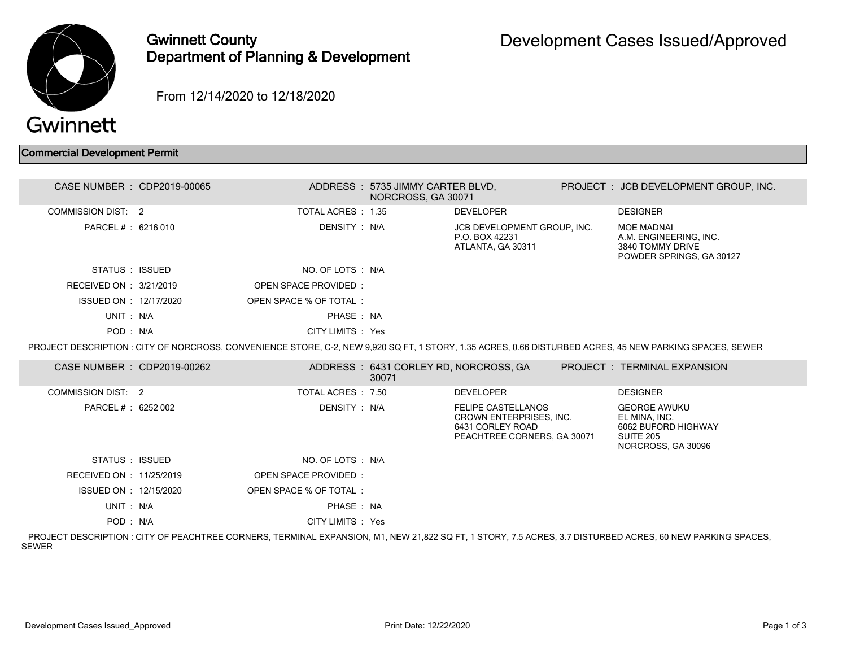

## Gwinnett County Department of Planning & Development

From 12/14/2020 to 12/18/2020

## Commercial Development Permit

| CASE NUMBER : CDP2019-00065 |                             | ADDRESS: 5735 JIMMY CARTER BLVD,<br>NORCROSS, GA 30071 |                                                                                                         | PROJECT : JCB DEVELOPMENT GROUP, INC.                                                                                                                     |
|-----------------------------|-----------------------------|--------------------------------------------------------|---------------------------------------------------------------------------------------------------------|-----------------------------------------------------------------------------------------------------------------------------------------------------------|
| COMMISSION DIST: 2          | TOTAL ACRES: 1.35           |                                                        | <b>DEVELOPER</b>                                                                                        | <b>DESIGNER</b>                                                                                                                                           |
| PARCEL #: 6216 010          | DENSITY : N/A               |                                                        | JCB DEVELOPMENT GROUP, INC.<br>P.O. BOX 42231<br>ATLANTA, GA 30311                                      | <b>MOE MADNAI</b><br>A.M. ENGINEERING, INC.<br>3840 TOMMY DRIVE<br>POWDER SPRINGS, GA 30127                                                               |
| STATUS : ISSUED             | NO. OF LOTS : N/A           |                                                        |                                                                                                         |                                                                                                                                                           |
| RECEIVED ON : 3/21/2019     | <b>OPEN SPACE PROVIDED:</b> |                                                        |                                                                                                         |                                                                                                                                                           |
| ISSUED ON : 12/17/2020      | OPEN SPACE % OF TOTAL:      |                                                        |                                                                                                         |                                                                                                                                                           |
| UNIT: N/A                   | PHASE : NA                  |                                                        |                                                                                                         |                                                                                                                                                           |
| POD: N/A                    | CITY LIMITS : Yes           |                                                        |                                                                                                         |                                                                                                                                                           |
|                             |                             |                                                        |                                                                                                         | PROJECT DESCRIPTION : CITY OF NORCROSS, CONVENIENCE STORE, C-2, NEW 9,920 SQ FT, 1 STORY, 1.35 ACRES, 0.66 DISTURBED ACRES, 45 NEW PARKING SPACES, SEWER  |
| CASE NUMBER : CDP2019-00262 |                             | ADDRESS: 6431 CORLEY RD, NORCROSS, GA<br>30071         |                                                                                                         | PROJECT: TERMINAL EXPANSION                                                                                                                               |
| <b>COMMISSION DIST: 2</b>   | TOTAL ACRES : 7.50          |                                                        | <b>DEVELOPER</b>                                                                                        | <b>DESIGNER</b>                                                                                                                                           |
| PARCEL #: 6252 002          | DENSITY : N/A               |                                                        | <b>FELIPE CASTELLANOS</b><br>CROWN ENTERPRISES, INC.<br>6431 CORLEY ROAD<br>PEACHTREE CORNERS, GA 30071 | <b>GEORGE AWUKU</b><br>EL MINA, INC.<br>6062 BUFORD HIGHWAY<br>SUITE 205<br>NORCROSS, GA 30096                                                            |
| STATUS : ISSUED             | NO. OF LOTS : N/A           |                                                        |                                                                                                         |                                                                                                                                                           |
| RECEIVED ON : 11/25/2019    | <b>OPEN SPACE PROVIDED:</b> |                                                        |                                                                                                         |                                                                                                                                                           |
| ISSUED ON : 12/15/2020      | OPEN SPACE % OF TOTAL:      |                                                        |                                                                                                         |                                                                                                                                                           |
| UNIT: N/A                   | PHASE : NA                  |                                                        |                                                                                                         |                                                                                                                                                           |
| POD: N/A                    | CITY LIMITS : Yes           |                                                        |                                                                                                         |                                                                                                                                                           |
|                             |                             |                                                        |                                                                                                         | PRO IEGT BEGODIDTION LOITY OF BEAQUITREE OODNEDO. TEDMINIAL EVRANQIONI MA NEW 04.000 OO ET A OTODY J.E.AODEO, A J.DIOTUDDED AODEO, AO NEW DADIZINO ODAOEO |

 PROJECT DESCRIPTION : CITY OF PEACHTREE CORNERS, TERMINAL EXPANSION, M1, NEW 21,822 SQ FT, 1 STORY, 7.5 ACRES, 3.7 DISTURBED ACRES, 60 NEW PARKING SPACES, SEWER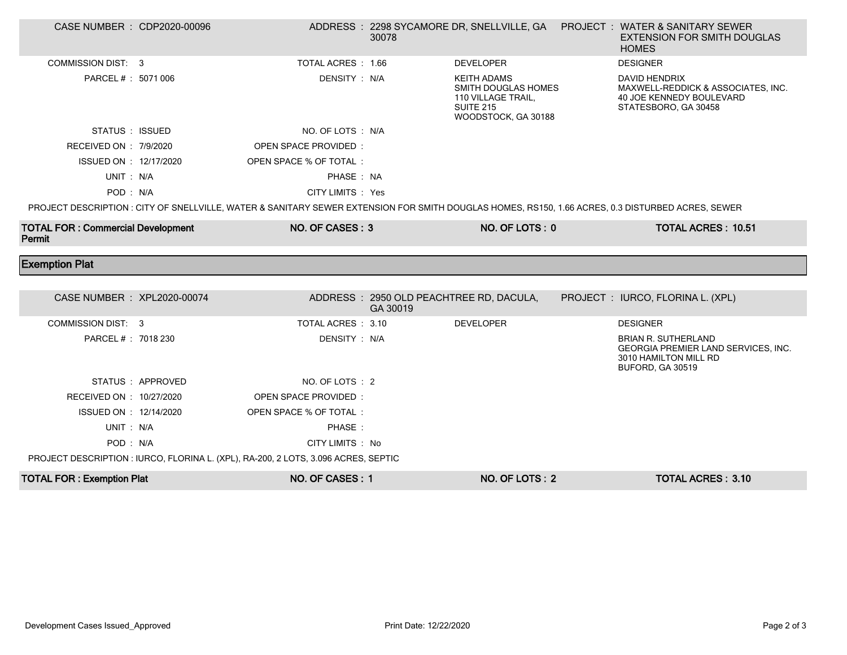| CASE NUMBER : CDP2020-00096                                                                                                                       |                  |                                                                                    | 30078    |                                                                                                                   |  | ADDRESS: 2298 SYCAMORE DR, SNELLVILLE, GA  PROJECT: WATER & SANITARY SEWER<br><b>EXTENSION FOR SMITH DOUGLAS</b><br><b>HOMES</b> |  |
|---------------------------------------------------------------------------------------------------------------------------------------------------|------------------|------------------------------------------------------------------------------------|----------|-------------------------------------------------------------------------------------------------------------------|--|----------------------------------------------------------------------------------------------------------------------------------|--|
| <b>COMMISSION DIST: 3</b>                                                                                                                         |                  | TOTAL ACRES : 1.66                                                                 |          | <b>DEVELOPER</b>                                                                                                  |  | <b>DESIGNER</b>                                                                                                                  |  |
| PARCEL # : 5071 006                                                                                                                               |                  | DENSITY: N/A                                                                       |          | <b>KEITH ADAMS</b><br><b>SMITH DOUGLAS HOMES</b><br>110 VILLAGE TRAIL,<br><b>SUITE 215</b><br>WOODSTOCK, GA 30188 |  | DAVID HENDRIX<br>MAXWELL-REDDICK & ASSOCIATES, INC.<br>40 JOE KENNEDY BOULEVARD<br>STATESBORO, GA 30458                          |  |
| STATUS : ISSUED                                                                                                                                   |                  | NO. OF LOTS : N/A                                                                  |          |                                                                                                                   |  |                                                                                                                                  |  |
| RECEIVED ON : 7/9/2020                                                                                                                            |                  | <b>OPEN SPACE PROVIDED:</b>                                                        |          |                                                                                                                   |  |                                                                                                                                  |  |
| ISSUED ON : 12/17/2020                                                                                                                            |                  | OPEN SPACE % OF TOTAL:                                                             |          |                                                                                                                   |  |                                                                                                                                  |  |
| UNIT: N/A                                                                                                                                         |                  | PHASE: NA                                                                          |          |                                                                                                                   |  |                                                                                                                                  |  |
| POD: N/A                                                                                                                                          |                  | CITY LIMITS : Yes                                                                  |          |                                                                                                                   |  |                                                                                                                                  |  |
| PROJECT DESCRIPTION : CITY OF SNELLVILLE, WATER & SANITARY SEWER EXTENSION FOR SMITH DOUGLAS HOMES, RS150, 1.66 ACRES, 0.3 DISTURBED ACRES, SEWER |                  |                                                                                    |          |                                                                                                                   |  |                                                                                                                                  |  |
| <b>TOTAL FOR: Commercial Development</b><br>Permit                                                                                                |                  | NO. OF CASES: 3                                                                    |          | NO. OF LOTS: 0                                                                                                    |  | <b>TOTAL ACRES: 10.51</b>                                                                                                        |  |
|                                                                                                                                                   |                  |                                                                                    |          |                                                                                                                   |  |                                                                                                                                  |  |
| <b>Exemption Plat</b>                                                                                                                             |                  |                                                                                    |          |                                                                                                                   |  |                                                                                                                                  |  |
|                                                                                                                                                   |                  |                                                                                    |          |                                                                                                                   |  |                                                                                                                                  |  |
| CASE NUMBER : XPL2020-00074                                                                                                                       |                  |                                                                                    | GA 30019 | ADDRESS: 2950 OLD PEACHTREE RD, DACULA,                                                                           |  | PROJECT : IURCO, FLORINA L. (XPL)                                                                                                |  |
| COMMISSION DIST: 3                                                                                                                                |                  | TOTAL ACRES : 3.10                                                                 |          | <b>DEVELOPER</b>                                                                                                  |  | <b>DESIGNER</b>                                                                                                                  |  |
| PARCEL # : 7018 230                                                                                                                               |                  | DENSITY: N/A                                                                       |          |                                                                                                                   |  | <b>BRIAN R. SUTHERLAND</b><br>GEORGIA PREMIER LAND SERVICES, INC.<br>3010 HAMILTON MILL RD<br>BUFORD, GA 30519                   |  |
|                                                                                                                                                   | STATUS: APPROVED | NO. OF LOTS : 2                                                                    |          |                                                                                                                   |  |                                                                                                                                  |  |
| RECEIVED ON : 10/27/2020                                                                                                                          |                  | OPEN SPACE PROVIDED:                                                               |          |                                                                                                                   |  |                                                                                                                                  |  |
| ISSUED ON : 12/14/2020                                                                                                                            |                  | OPEN SPACE % OF TOTAL :                                                            |          |                                                                                                                   |  |                                                                                                                                  |  |
| UNIT: N/A                                                                                                                                         |                  | PHASE:                                                                             |          |                                                                                                                   |  |                                                                                                                                  |  |
| POD: N/A                                                                                                                                          |                  | CITY LIMITS : No                                                                   |          |                                                                                                                   |  |                                                                                                                                  |  |
|                                                                                                                                                   |                  | PROJECT DESCRIPTION : IURCO, FLORINA L. (XPL), RA-200, 2 LOTS, 3.096 ACRES, SEPTIC |          |                                                                                                                   |  |                                                                                                                                  |  |